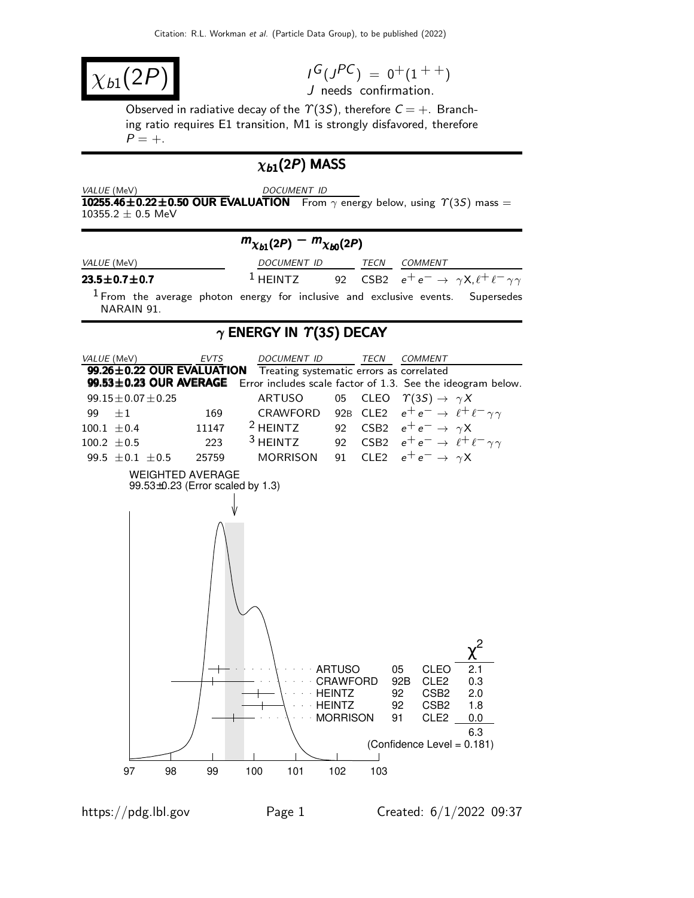$\chi_{b1}(2F)$ 

 $I^G(J^{PC}) = 0^+(1^{++})$ J needs confirmation.

Observed in radiative decay of the  $\Upsilon(3S)$ , therefore  $C = +$ . Branching ratio requires E1 transition, M1 is strongly disfavored, therefore  $P = +$ .

### $\chi_{b1}(2P)$  MASS

VALUE (MeV) DOCUMENT ID 10255.46±0.22±0.50 OUR EVALUATION From  $\gamma$  energy below, using  $\gamma(3S)$  mass =  $10355.2 \pm 0.5$  MeV



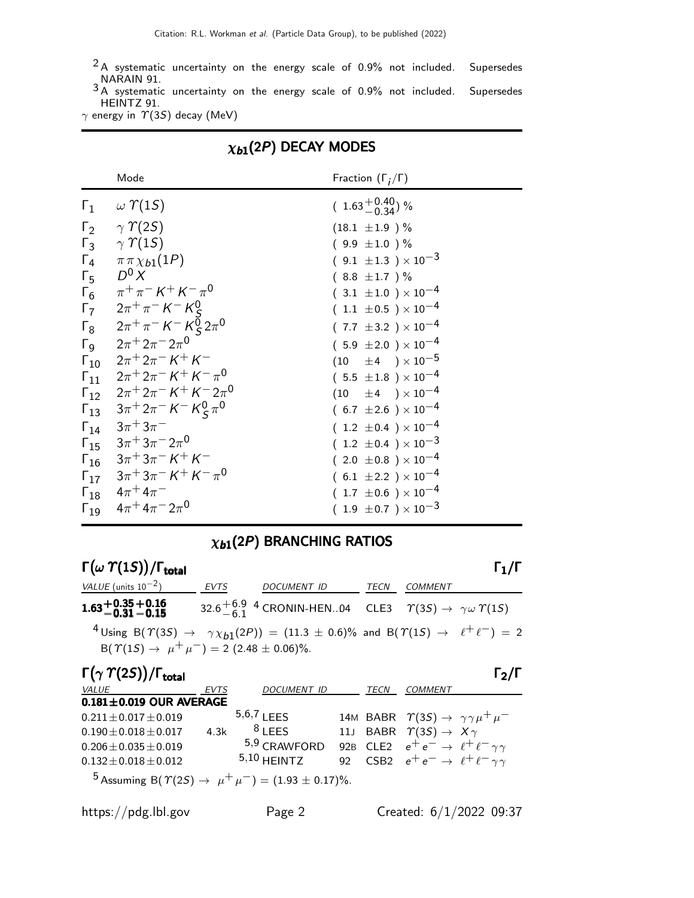$2A$  systematic uncertainty on the energy scale of 0.9% not included. Supersedes NARAIN 91.

 $3A$  systematic uncertainty on the energy scale of 0.9% not included. Supersedes HEINTZ 91.

 $\gamma$  energy in  $\gamma$ (3S) decay (MeV)

|                       | Mode                                                                                                       | Fraction $(\Gamma_i/\Gamma)$   |
|-----------------------|------------------------------------------------------------------------------------------------------------|--------------------------------|
|                       | $\Gamma_1 \quad \omega \Upsilon(15)$                                                                       | $(1.63^{+0.40}_{-0.34})$ %     |
|                       | $\Gamma_2 \gamma \gamma$ (2S)                                                                              | $(18.1 \pm 1.9)$ %             |
|                       | $\Gamma_3$ $\gamma$ $\gamma$ (15)                                                                          | $(9.9 \pm 1.0)$ %              |
| $\Gamma_4$            | $\pi \pi \chi_{b1}(1P)$                                                                                    | $(9.1 \pm 1.3) \times 10^{-3}$ |
| $\Gamma_5$            | $D^0 X$                                                                                                    | $(8.8 \pm 1.7)$ %              |
| $\Gamma_6$            | $\pi^+\pi^-$ K $^+$ K $^-\pi^0$                                                                            | $(3.1 \pm 1.0) \times 10^{-4}$ |
| $\Gamma_7$            |                                                                                                            | $(1.1 \pm 0.5) \times 10^{-4}$ |
| $\Gamma_8$            | $2\pi^+\pi^-$ K $^-$ K $^0_S$<br>2 $\pi^+\pi^-$ K $^-$ K $^0_S$ 2 $\pi^0$                                  | $(7.7 \pm 3.2) \times 10^{-4}$ |
| $\Gamma_{\mathsf{Q}}$ | $2\pi$ <sup>+</sup> $2\pi$ <sup>-</sup> $2\pi$ <sup>0</sup>                                                | $(5.9 \pm 2.0) \times 10^{-4}$ |
|                       | $\Gamma_{10}$ $2\pi^+2\pi^- K^+ K^-$                                                                       | $(10 \pm 4) \times 10^{-5}$    |
|                       | $\Gamma_{11}$ $2\pi^+ 2\pi^- K^+ K^- \pi^0$                                                                | $(5.5 \pm 1.8) \times 10^{-4}$ |
|                       | $\Gamma_{12}$ $2\pi^+ 2\pi^- K^+ K^- 2\pi^0$                                                               | $(10 \pm 4) \times 10^{-4}$    |
|                       | $\Gamma_{13}$ $3\pi^+ 2\pi^- K^- K^0_S \pi^0$                                                              | $(6.7 \pm 2.6) \times 10^{-4}$ |
|                       | $\Gamma_{14}$ $3\pi$ <sup>+</sup> $3\pi$ <sup>-</sup>                                                      | $(1.2 \pm 0.4) \times 10^{-4}$ |
|                       | $\Gamma_{15}$ $3\pi$ <sup>+</sup> $3\pi$ <sup>-</sup> $2\pi$ <sup>0</sup>                                  | $(1.2 \pm 0.4) \times 10^{-3}$ |
|                       | $\Gamma_{16}$ $3\pi$ <sup>+</sup> $3\pi$ <sup>-</sup> $K$ <sup>+</sup> $K$ <sup>-</sup>                    | $(2.0 \pm 0.8) \times 10^{-4}$ |
|                       | $\Gamma_{17}$ $3\pi$ <sup>+</sup> $3\pi$ <sup>-</sup> $K$ <sup>+</sup> $K$ <sup>-</sup> $\pi$ <sup>0</sup> | $(6.1 \pm 2.2) \times 10^{-4}$ |
|                       | $\Gamma_{18}$ $4\pi$ <sup>+</sup> $4\pi$ <sup>-</sup>                                                      | $(1.7 \pm 0.6) \times 10^{-4}$ |
|                       | $\Gamma_{19}$ $4\pi$ <sup>+</sup> $4\pi$ <sup>-</sup> $2\pi$ <sup>0</sup>                                  | $(1.9\ \pm0.7\ )\times10^{-3}$ |

### $\chi_{b1}(2P)$  DECAY MODES

## $\chi_{b1}(2P)$  BRANCHING RATIOS

Γ $(\omega \; \Upsilon(1S))$ /Γ<sub>total</sub> Γ<sub>1</sub>/Γ VALUE (units 10<sup>-2</sup>) EVTS DOCUMENT ID TECN COMMENT  $1.63 + 0.35 + 0.16$ <br> $-0.31 - 0.15$  32.6  $^{+6.9}_{-6.1}$  4 CRONIN-HEN..04 CLE3  $\gamma(35) \rightarrow \gamma \omega \gamma(15)$  $^{4}$ Using B $(\varUpsilon(3S) \rightarrow \gamma \chi_{b1}(2P)) = (11.3 \pm 0.6)\%$  and B $(\varUpsilon(1S) \rightarrow \ell^+ \ell^-) = 2$  $B(\Upsilon(1S) \rightarrow \mu^+ \mu^-) = 2 (2.48 \pm 0.06)\%.$ 

| $\Gamma(\gamma \; \gamma(2S))/\Gamma_{\rm total}$                                   |             |                    |                 |             |                                                               | $\Gamma_2$ /I |
|-------------------------------------------------------------------------------------|-------------|--------------------|-----------------|-------------|---------------------------------------------------------------|---------------|
| VALUE                                                                               | <b>EVTS</b> | <b>DOCUMENT ID</b> |                 | <i>TECN</i> | <b>COMMENT</b>                                                |               |
| $0.181 \pm 0.019$ OUR AVERAGE                                                       |             |                    |                 |             |                                                               |               |
| $0.211 \pm 0.017 \pm 0.019$                                                         |             | $5,6,7$   FFS      |                 |             | 14M BABR $\Upsilon(3S) \rightarrow \gamma \gamma \mu^+ \mu^-$ |               |
| $0.190 \pm 0.018 \pm 0.017$                                                         | 4.3k        | $8$ I FFS          |                 |             | 11J BABR $\Upsilon(3S) \rightarrow X\gamma$                   |               |
| $0.206 \pm 0.035 \pm 0.019$                                                         |             | 5,9 CRAWFORD       |                 |             | 92B CLE2 $e^+e^- \rightarrow \ell^+ \ell^- \gamma \gamma$     |               |
| $0.132 \pm 0.018 \pm 0.012$                                                         |             | $5,10$ HFINTZ      | 92 <sub>o</sub> |             | CSB2 $e^+e^- \rightarrow \ell^+ \ell^- \gamma \gamma$         |               |
| <sup>5</sup> Assuming B( $\Upsilon(2S) \rightarrow \mu^+ \mu^-$ ) = (1.93 ± 0.17)%. |             |                    |                 |             |                                                               |               |

https://pdg.lbl.gov Page 2 Created: 6/1/2022 09:37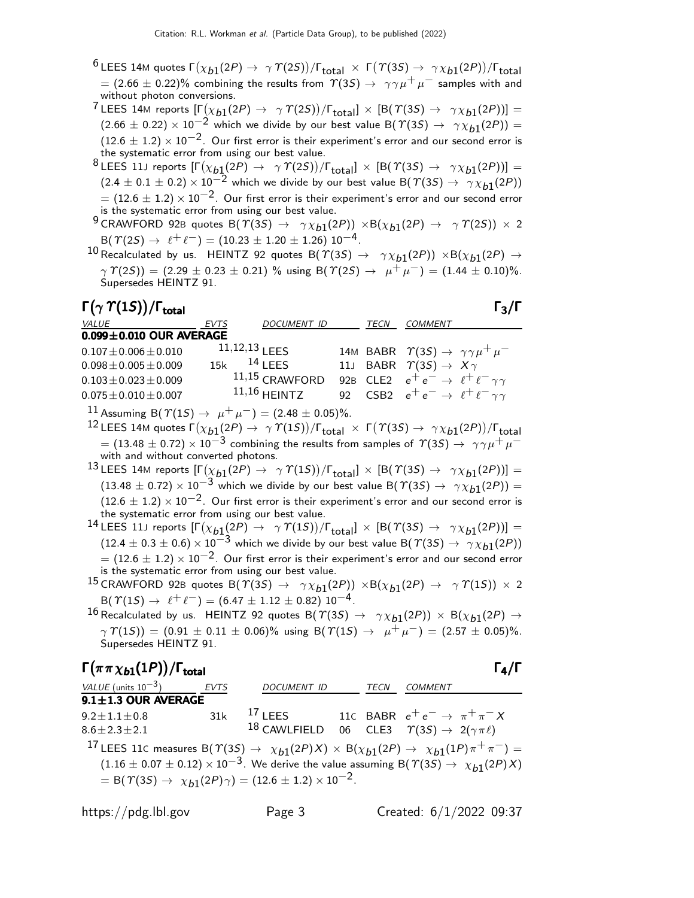$^6$ LEES 14Μ quotes Γ $(\chi_{b1}(2P) \to \; \gamma \; \gamma(2S))/$ Γ $_{\rm total} \; \times \;$  Γ $(\; \gamma(3S) \to \; \gamma \chi_{b1}(2P))/$ Γ $_{\rm total}$  $= (2.66 \pm 0.22)\%$  combining the results from  $\varUpsilon(3S) \rightarrow \ \gamma \gamma \mu^+ \mu^-$  samples with and without photon conversions.

 $^7$ LEES 14M reports  $[\Gamma(\chi_{b1}(2P) \to \gamma \varUpsilon(2S))/\Gamma_{\text{total}}] \times [B(\varUpsilon(3S) \to \gamma \chi_{b1}(2P))] =$  $(2.66 \pm 0.22) \times 10^{-2}$  which we divide by our best value B( $\Upsilon(35) \rightarrow \gamma \chi_{b1}(2P)$ ) =  $(12.6 \pm 1.2) \times 10^{-2}$ . Our first error is their experiment's error and our second error is the systematic error from using our best value.

 $^8$ LEES 11J reports  $[\Gamma(\chi_{b1}(2P) \rightarrow \gamma \varUpsilon(2S))/\Gamma_{\rm total}]\times[{\cal B}(\varUpsilon(3S) \rightarrow \gamma \chi_{b1}(2P))] =$  $(2.4 \pm 0.1 \pm 0.2) \times 10^{-2}$  which we divide by our best value B( $\Upsilon(3S) \rightarrow \gamma \chi_{b1}(2P)$ )  $= (12.6 \pm 1.2) \times 10^{-2}$ . Our first error is their experiment's error and our second error is the systematic error from using our best value.

 $^9$ CRAWFORD 92B quotes  $\mathsf{B}(\varUpsilon(3S) \to -\gamma \chi_{b1}(2P)) \times \mathsf{B}(\chi_{b1}(2P) \to -\gamma \varUpsilon(2S)) \times 2$  $B(\Upsilon(2S) \to \ell^+ \ell^-) = (10.23 \pm 1.20 \pm 1.26) 10^{-4}.$ 

 $^{10}$  Recalculated by us. HEINTZ 92 quotes B $(\Upsilon(3S) \to -\gamma \chi_{b1}(2P)) \times {\rm B}(\chi_{b1}(2P) \to$  $\gamma \Upsilon(2S)$  = (2.29 ± 0.23 ± 0.21) % using B( $\Upsilon(2S) \rightarrow \mu^+ \mu^-$ ) = (1.44 ± 0.10)%. Supersedes HEINTZ 91.

Γ $(\gamma \; \gamma(1S))$ /Γ<sub>total</sub> Γ<sub>3</sub>/Γ )/Γ<sub>total</sub> Γ<sub>3</sub>/Γ VALUE  $EVTS$  DOCUMENT ID TECN COMMENT **0.099±0.010 OUR AVERAGE**<br>0.107 + 0.006 + 0.010  $11,12,13$  LEES  $0.107 \pm 0.006 \pm 0.010$   $11,12,13$  LEES  $14M$  BABR  $\Upsilon(3S) \rightarrow \gamma \gamma \mu^+ \mu^-$ <br> $0.098 \pm 0.005 \pm 0.009$   $15k$   $14$  LEES  $11J$  BABR  $\Upsilon(3S) \rightarrow X \gamma$  $0.098 \pm 0.005 \pm 0.009$  15k <sup>14</sup> LEES 11J BABR  $\Upsilon(3S) \to X \gamma$ <br> $0.103 \pm 0.023 \pm 0.009$  11,15 CRAWFORD 92B CLE2  $e^+e^- \to \ell^+ \ell$  $0.103 \pm 0.023 \pm 0.009$   $11,15$  CRAWFORD 92B CLE2  $e^+e^- \rightarrow \ell^+ \ell^- \gamma \gamma$ <br> $0.075 \pm 0.010 \pm 0.007$   $11,16$  HEINTZ 92 CSB2  $e^+e^- \rightarrow \ell^+ \ell^- \gamma \gamma$  $0.075\pm0.010\pm0.007$  11,16 HEINTZ 92 CSB2  $e^+e^- \rightarrow \ell^+ \ell^- \gamma \gamma$ 

11 Assuming B( $\mathcal{T}(1S) \to \mu^+ \mu^-) = (2.48 \pm 0.05)\%$ .

 $^{12}$  LEES 14Μ quotes Γ $(\chi_{b1}(2P) → γT(1S))/\Gamma_{total} × Γ(T(3S) → γ\chi_{b1}(2P))/\Gamma_{total}$  $= (13.48 \pm 0.72) \times 10^{-3}$  combining the results from samples of  $\gamma(35) \rightarrow \gamma \gamma \mu^+ \mu^$ with and without converted photons.

 $^{13}$ LEES 14M reports  $[\Gamma(\chi_{b1}(2P) \to~\gamma\,\Upsilon(1S))/\Gamma_{\rm total}]\,\times\,[\rm B(\,\Upsilon(3S) \to~\gamma\chi_{b1}(2P))] =$  $(13.48 \pm 0.72) \times 10^{-3}$  which we divide by our best value B( $\Gamma(3S) \rightarrow \gamma \chi_{b1}(2P)$ ) =  $(12.6 \pm 1.2) \times 10^{-2}$ . Our first error is their experiment's error and our second error is the systematic error from using our best value.

 $^{14}$ LEES 11J reports  $[\Gamma(\chi_{b1}(2P) \rightarrow \gamma \varUpsilon(1S))/\Gamma_{\text{total}}] \times [B(\varUpsilon(3S) \rightarrow \gamma \chi_{b1}(2P))] =$  $(12.4 \pm 0.3 \pm 0.6) \times 10^{-3}$  which we divide by our best value B( $\Upsilon(3S) \rightarrow \gamma \chi_{b1}(2P)$ )  $= (12.6 \pm 1.2) \times 10^{-2}$ . Our first error is their experiment's error and our second error is the systematic error from using our best value.

 $^{15}$ CRAWFORD 92B quotes B $(\varUpsilon(3S) \rightarrow \ \ \gamma \chi_{b1}(2P)) \ \times {\bf \mathsf{B}}(\chi_{b1}(2P) \rightarrow \ \ \gamma \ \varUpsilon(1S)) \ \times \ 2$  $B(\Upsilon(1S) \rightarrow \ell^+ \ell^-) = (6.47 \pm 1.12 \pm 0.82) 10^{-4}.$ 

 $^{16}$ Recalculated by us.  $\,$  HEINTZ 92 quotes B $(\, \gamma(3S) \, \rightarrow \, \, \, \gamma \chi_{b1}(2P) )\, \times\, \mathsf{B}(\chi_{b1}(2P) \, \rightarrow \,$  $\gamma \Upsilon(15)$  = (0.91  $\pm$  0.11  $\pm$  0.06)% using B( $\Upsilon(15) \rightarrow \mu^+ \mu^-$ ) = (2.57  $\pm$  0.05)%. Supersedes HEINTZ 91.

 $\Gamma(\pi \pi \chi_{b1}(1P))/\Gamma_{\rm total}$  Γ<sub>4</sub>/Γ VALUE (units  $10^{-3}$ ) ) EVTS DOCUMENT ID TECN COMMENT  $9.1 \pm 1.3$  OUR AVERAGE 9.2 $\pm$ 1.1 $\pm$ 0.8 31k <sup>17</sup> LEES 11C BABR  $e^+e^- \rightarrow \pi^+\pi^- X$  $8.6 \pm 2.3 \pm 2.1$ 18 CAWLFIELD 06 CLE3  $\Upsilon(3S) \rightarrow 2(\gamma \pi \ell)$ 17 LEES 11C measures  $B(\Upsilon(35) \rightarrow \chi_{b1}(2P)X) \times B(\chi_{b1}(2P) \rightarrow \chi_{b1}(1P)\pi^+\pi^-) =$  $(1.16 \pm 0.07 \pm 0.12) \times 10^{-3}$ . We derive the value assuming B( $\mathcal{T}(3S) \rightarrow \chi_{b1}(2P)X$ ) = B( $\Upsilon(3S) \rightarrow \chi_{b1}(2P)\gamma$ ) = (12.6 ± 1.2) × 10<sup>-2</sup>.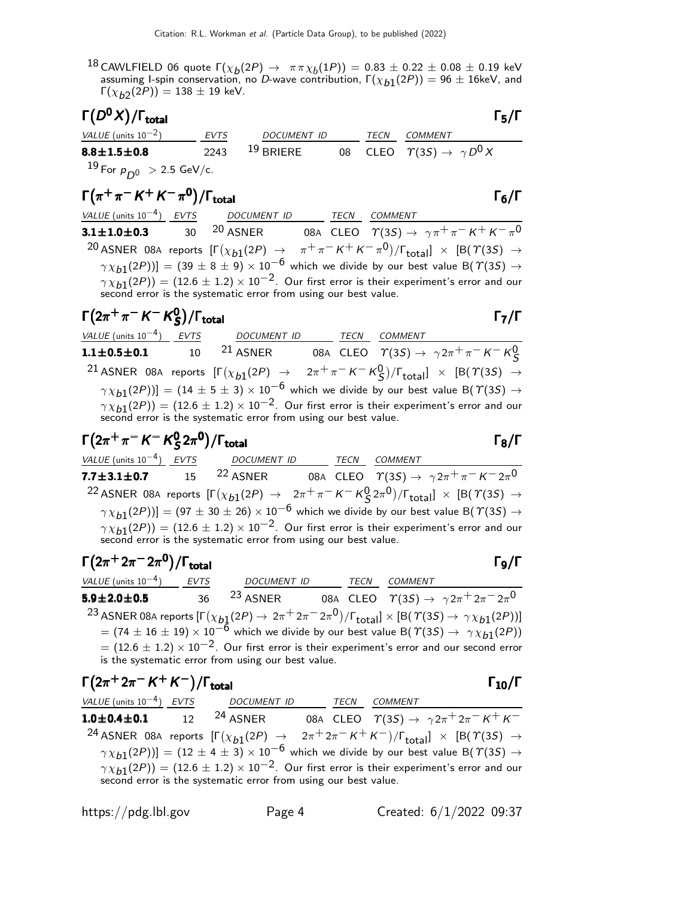$^{18}$  CAWLFIELD 06 quote  $\Gamma(\chi_b(2P) \to \pi \pi \chi_b(1P)) = 0.83 \pm 0.22 \pm 0.08 \pm 0.19$  keV assuming I-spin conservation, no D-wave contribution,  $\Gamma(\chi_{b1}(2P)) = 96 \pm 16$ keV, and  $\Gamma(\chi_{b2}(2P)) = 138 \pm 19$  keV.

| $\Gamma(D^0X)/\Gamma_{\rm total}$              |             |             |      | $\Gamma_5/\Gamma$                               |
|------------------------------------------------|-------------|-------------|------|-------------------------------------------------|
| VALUE (units $10^{-2}$ )                       | <b>EVTS</b> | DOCUMENT ID | TECN | COMMENT                                         |
| $8.8 \pm 1.5 \pm 0.8$                          | 2243        | $19$ BRIERE |      | 08 CLEO $\Upsilon(3S) \rightarrow \gamma D^0 X$ |
| $^{19}$ For $\rm \rho_{D0}$ $\rm > 2.5$ GeV/c. |             |             |      |                                                 |

$$
\Gamma(\pi^+\pi^-K^+K^-\pi^0)/\Gamma_{\text{total}}
$$

VALUE (units 10<sup>-4</sup>) EVTS DOCUMENT ID TECN COMMENT **3.1** $\pm$ **1.0** $\pm$ **0.3** 30 <sup>20</sup> ASNER 08A CLEO  $\Upsilon(3S) \rightarrow \gamma \pi^+ \pi^- \, K^+ \, K^- \pi^0$ 20 ASNER 08A reports  $[\Gamma(\chi_{b1}(2P) \rightarrow \pi^+\pi^- K^+ K^-\pi^0)/\Gamma_{\rm total}]\times [B(\Upsilon(3S) \rightarrow$  $(\gamma \chi_{b1}(2P))] = (39 \pm 8 \pm 9) \times 10^{-6}$  which we divide by our best value B( $\gamma$ (3S)  $\rightarrow$  $\gamma \chi_{b1}(2P)) = (12.6 \pm 1.2) \times 10^{-2}$ . Our first error is their experiment's error and our second error is the systematic error from using our best value.

#### $\Gamma(2\pi^+\pi^-$  K<sup>-</sup> K<sup>0</sup><sub>5</sub>  $\Gamma(2\pi^+\pi^-\,K^-\,K^0_S)/\Gamma_{\rm total}$

VALUE (units 10<sup>-4</sup>) EVTS DOCUMENT ID TECN COMMENT **1.1±0.5±0.1** 10 21 ASNER 08A CLEO  $T(3S) \to \gamma 2\pi^+ \pi^- K^- K^0_S$ S 21 ASNER 08A reports  $[\Gamma(\chi_{b1}(2P) \rightarrow 2\pi^+\pi^- K^- K^0_S)/\Gamma_{\rm total}]\times [B(\Upsilon(3S) \rightarrow$  $(\gamma \chi_{b1}(2P))] = (14 \pm 5 \pm 3) \times 10^{-6}$  which we divide by our best value B( $\gamma(3S) \rightarrow$  $\gamma \chi_{b1}(2P)) = (12.6 \pm 1.2) \times 10^{-2}$ . Our first error is their experiment's error and our second error is the systematic error from using our best value.

$$
\Gamma(2\pi^+\pi^-K^-K^0_S 2\pi^0)/\Gamma_{\text{total}}
$$

VALUE (units  $10^{-4}$ ) EVTS ) EVTS DOCUMENT ID TECN COMMENT **7.7±3.1±0.7** 15 <sup>22</sup> ASNER 08A CLEO  $\varUpsilon(3S) \to \gamma 2\pi^+ \pi^- \, K^- 2\pi^0$ 22 ASNER 08A reports  $[\Gamma(\chi_{b1}(2P) \to 2\pi^+\pi^- K^- K^0_S 2\pi^0)/\Gamma_{\rm total}]\times [B(\Upsilon(3S) \to$  $(\gamma \chi_{b1}(2P))] = (97 \pm 30 \pm 26) \times 10^{-6}$  which we divide by our best value B( $\gamma(35) \rightarrow$  $\gamma \chi_{b1}(2P)$ ) = (12.6 ± 1.2) × 10<sup>-2</sup>. Our first error is their experiment's error and our second error is the systematic error from using our best value.

$$
\begin{array}{ll}\n\Gamma(2\pi^+ 2\pi^- 2\pi^0)/\Gamma_{\text{total}} & \Gamma_9/\Gamma \\
\hline\n\text{VALUE (units 10}^{-4}) & EVTS & \text{DOCUMENT ID} & TECN & \text{COMMENT} \\
\hline\n\text{5.9} \pm 2.0 \pm 0.5 & 36 & 23 \text{ ASNER} & 08 \text{ A } \text{CLEO} & \text{T}(3S) \rightarrow \gamma 2\pi^+ 2\pi^- 2\pi^0 \\
\hline\n& 23 \text{ ASNER } 08 \text{ A reports } [\Gamma(\chi_{b1}(2P) \rightarrow 2\pi^+ 2\pi^- 2\pi^0)/\Gamma_{\text{total}}] \times [\text{B}(\Upsilon(3S) \rightarrow \gamma \chi_{b1}(2P))] \\
& = (74 \pm 16 \pm 19) \times 10^{-6} \text{ which we divide by our best value B}(\Upsilon(3S) \rightarrow \gamma \chi_{b1}(2P)) \\
& = (12.6 \pm 1.2) \times 10^{-2}. \text{ Our first error is their experiment's error and our second error is the systematic error from using our best value.}\n\end{array}
$$

$$
\begin{array}{ll}\n\Gamma(2\pi^+ 2\pi^- K^+ K^-)/\Gamma_{\text{total}} & \Gamma_{10}/\Gamma \\
\hline\n\text{VALUE (units 10}^{-4)} \text{ EVTS} & \text{DOCUMENT ID} & \text{TECN} & \text{COMMENT} \\
\text{1.0±0.4±0.1} & 12 & 24 \text{ ASNER} & 08A \text{ CLEO} & \text{T(3S)} \rightarrow \gamma 2\pi^+ 2\pi^- K^+ K^- \\
\text{24 ASNER} & 08A \text{ reports} & \left[\Gamma(\chi_{b1}(2P) \rightarrow 2\pi^+ 2\pi^- K^+ K^-)/\Gamma_{\text{total}}\right] \times \left[\text{B}(\Upsilon(3S) \rightarrow \gamma \chi_{b1}(2P))\right] = (12 \pm 4 \pm 3) \times 10^{-6} \text{ which we divide by our best value B}(\Upsilon(3S) \rightarrow \gamma \chi_{b1}(2P)) = (12.6 \pm 1.2) \times 10^{-2}. \text{ Our first error is their experiment's error and our second error is the systematic error from using our best value.}\n\end{array}
$$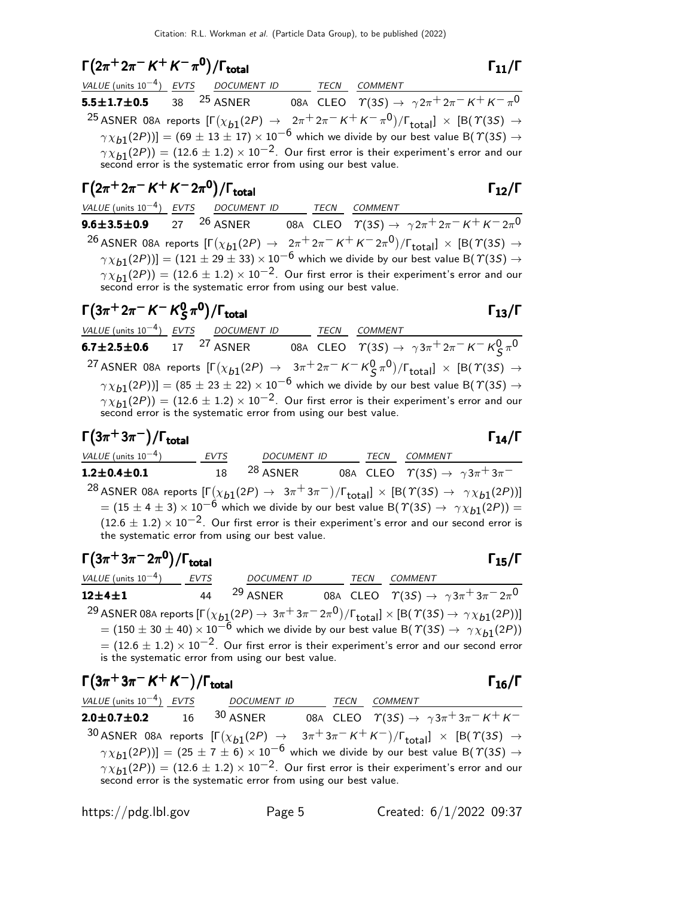# $\Gamma(2\pi^+ 2\pi^- K^+ K^- \pi^0)/\Gamma_{\text{total}}$  Γ<sub>11</sub>/Γ

| VALUE (units $10^{-4}$ ) EVTS DOCUMENT ID |                                                                 | TECN | COMMENT                                                                                                                             |
|-------------------------------------------|-----------------------------------------------------------------|------|-------------------------------------------------------------------------------------------------------------------------------------|
| 5.5 $\pm$ 1.7 $\pm$ 0.5 38 $^{25}$ asner  |                                                                 |      | 08A CLEO $\quad \  \  \Upsilon(3S) \rightarrow \ \ \gamma \, 2\pi^+ \, 2\pi^- \, K^+ \, K^- \, \pi^0$                               |
|                                           |                                                                 |      | <sup>25</sup> ASNER 08A reports $[\Gamma(\chi_{b1}(2P) \to 2\pi^+ 2\pi^- K^+ K^- \pi^0)/\Gamma_{\text{total}}] \times [B(T(3S) \to$ |
|                                           |                                                                 |      | $\gamma \chi_{b1}(2P)$ ] = (69 ± 13 ± 17) × 10 <sup>-6</sup> which we divide by our best value B( $\gamma$ (3S) $\rightarrow$       |
|                                           |                                                                 |      | $\gamma \chi_{b1}(2P)$ = (12.6 ± 1.2) × 10 <sup>-2</sup> . Our first error is their experiment's error and our                      |
|                                           | second error is the systematic error from using our best value. |      |                                                                                                                                     |

## $\Gamma(2\pi^+ 2\pi^- K^+ K^- 2\pi^0)/\Gamma_{\text{total}}$  Γ<sub>12</sub>/Γ VALUE (units 10<sup>-4</sup>) EVTS DOCUMENT ID TECN COMMENT

total and  $12/1$ 

**9.6±3.5±0.9** 27 26 ASNER 08A CLEO  $T(3S) \to \gamma 2\pi^+ 2\pi^- K^+ K^- 2\pi^0$  $^{26}$  ASNER 08A reports  $[\Gamma(\chi_{b1}(2P) \to 2\pi^+ 2\pi^- K^+ K^- 2\pi^0)/\Gamma_{\rm total}]\times [B(\Upsilon(3S) \to$  $(\gamma \chi_{b1}(2P))] = (121 \pm 29 \pm 33) \times 10^{-6}$  which we divide by our best value B( $\gamma$ (3S)  $\rightarrow$  $\gamma \chi_{b1}(2P)) = (12.6 \pm 1.2) \times 10^{-2}$ . Our first error is their experiment's error and our second error is the systematic error from using our best value.

#### $\Gamma(3\pi^+ 2\pi^- K^- K^0_S)$  $\Gamma(3\pi^+ 2\pi^- K^- K^0_S \pi^0)/\Gamma_{\text{total}}$  Γ<sub>13</sub>/Γ

| VALUE (units $10^{-4}$ ) EVTS DOCUMENT ID      |                                                                 | TECN | COMMENT                                                                                                                                                      |
|------------------------------------------------|-----------------------------------------------------------------|------|--------------------------------------------------------------------------------------------------------------------------------------------------------------|
| 6.7 $\pm$ 2.5 $\pm$ 0.6 17 <sup>27</sup> asner |                                                                 |      | 08A CLEO $\Upsilon(35) \to \gamma 3\pi^+ 2\pi^- K^- K^0_S \pi^0$                                                                                             |
|                                                |                                                                 |      | <sup>27</sup> ASNER 08A reports $[\Gamma(\chi_{b1}(2P) \rightarrow 3\pi^+ 2\pi^- K^- K^0_S \pi^0)/\Gamma_{\text{total}}] \times [B(\Upsilon(3S) \rightarrow$ |
|                                                |                                                                 |      | $\gamma \chi_{b1}(2P)$ ] = (85 ± 23 ± 22) × 10 <sup>-6</sup> which we divide by our best value B( $\gamma$ (3S) $\rightarrow$                                |
|                                                |                                                                 |      | $\gamma \chi_{b1}(2P)$ ) = (12.6 ± 1.2) × 10 <sup>-2</sup> . Our first error is their experiment's error and our                                             |
|                                                | second error is the systematic error from using our best value. |      |                                                                                                                                                              |

 $\Gamma(3\pi^+3\pi^-)/\Gamma_{\rm total}$  Γ<sub>14</sub>/Γ

total and  $14/1$ 

| VALUE (units $10^{-4}$ )                        | <b>EVTS</b> | <b>DOCUMENT ID</b>  | TECN | COMMENT                                                                                                                                            |
|-------------------------------------------------|-------------|---------------------|------|----------------------------------------------------------------------------------------------------------------------------------------------------|
| $1.2 \pm 0.4 \pm 0.1$                           | 18          | <sup>28</sup> ASNER |      | 08A CLEO $\ \ \Upsilon(3S) \rightarrow \ \ \gamma \, 3 \pi^+ \, 3 \pi^-$                                                                           |
|                                                 |             |                     |      | <sup>28</sup> ASNER 08A reports $[\Gamma(\chi_{b1}(2P) \to 3\pi^+3\pi^-)/\Gamma_{\text{total}}] \times [B(\Upsilon(3S) \to \gamma \chi_{b1}(2P))]$ |
|                                                 |             |                     |      | $= (15 \pm 4 \pm 3) \times 10^{-6}$ which we divide by our best value B( $\Upsilon(35) \rightarrow \gamma \chi_{b1}(2P)$ ) =                       |
|                                                 |             |                     |      | $(12.6 \pm 1.2) \times 10^{-2}$ . Our first error is their experiment's error and our second error is                                              |
| the systematic error from using our best value. |             |                     |      |                                                                                                                                                    |

| $\Gamma(3\pi^{+}3\pi^{-}2\pi^{0})/\Gamma_{\text{total}}$                                                                                                 |             |                                                                                                                       |             |                | $\Gamma_{15}/\Gamma$                                            |
|----------------------------------------------------------------------------------------------------------------------------------------------------------|-------------|-----------------------------------------------------------------------------------------------------------------------|-------------|----------------|-----------------------------------------------------------------|
| VALUE (units $10^{-4}$ )                                                                                                                                 | <b>EVTS</b> | <b>DOCUMENT ID</b>                                                                                                    | <b>TECN</b> | <b>COMMENT</b> |                                                                 |
| $12 + 4 + 1$                                                                                                                                             | 44          | <sup>29</sup> ASNER                                                                                                   |             |                | 08A CLEO $\Upsilon(35) \rightarrow \gamma 3\pi^+ 3\pi^- 2\pi^0$ |
| <sup>29</sup> ASNER 08A reports $[\Gamma(\chi_{b1}(2P) \to 3\pi^+3\pi^-2\pi^0)/\Gamma_{\text{total}}] \times [B(\Upsilon(3S) \to \gamma \chi_{b1}(2P))]$ |             |                                                                                                                       |             |                |                                                                 |
|                                                                                                                                                          |             | $= (150 \pm 30 \pm 40) \times 10^{-6}$ which we divide by our best value B( $\Upsilon(35) \rightarrow \Upsilon(36)$ ) |             |                |                                                                 |
|                                                                                                                                                          |             | $=$ (12.6 $\pm$ 1.2) $\times$ 10 <sup>-2</sup> . Our first error is their experiment's error and our second error     |             |                |                                                                 |
|                                                                                                                                                          |             | is the systematic error from using our best value.                                                                    |             |                |                                                                 |

| $\Gamma(3\pi^+3\pi^- K^+ K^-)/\Gamma_{\text{total}}$ |                                                                                                                                                                                                                                                                                                                  |      |         | $\Gamma_{16}/\Gamma$ |
|------------------------------------------------------|------------------------------------------------------------------------------------------------------------------------------------------------------------------------------------------------------------------------------------------------------------------------------------------------------------------|------|---------|----------------------|
|                                                      | VALUE (units $10^{-4}$ ) EVTS DOCUMENT ID                                                                                                                                                                                                                                                                        | TECN | COMMENT |                      |
|                                                      | <b>2.0±0.7±0.2</b> 16 <sup>30</sup> ASNER 08A CLEO $\Upsilon(3S) \to \gamma 3\pi^+ 3\pi^- K^+ K^-$                                                                                                                                                                                                               |      |         |                      |
|                                                      | 30 ASNER 08A reports $[\Gamma(\chi_{b1}(2P) \rightarrow 3\pi^+3\pi^- K^+ K^-)/\Gamma_{\text{total}}] \times [B(T(3S) \rightarrow$                                                                                                                                                                                |      |         |                      |
|                                                      | $\gamma \chi_{b1}(2P)$ ] = (25 ± 7 ± 6) × 10 <sup>-6</sup> which we divide by our best value B( $\gamma$ (3S) $\rightarrow$<br>$\gamma \chi_{b1}(2P)$ = (12.6 ± 1.2) × 10 <sup>-2</sup> . Our first error is their experiment's error and our<br>second error is the systematic error from using our best value. |      |         |                      |

https://pdg.lbl.gov Page 5 Created: 6/1/2022 09:37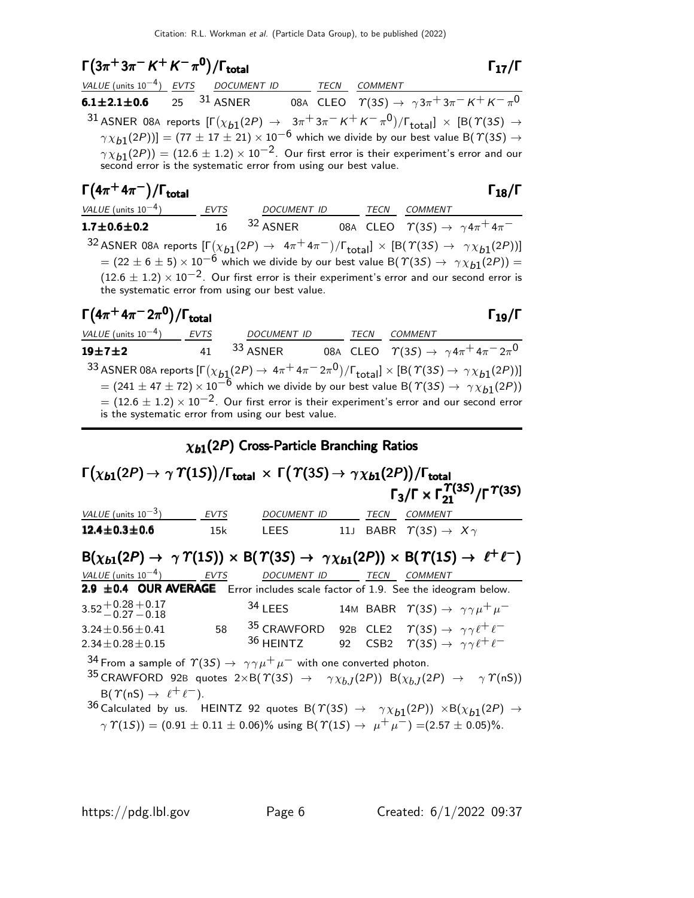# $\Gamma(3\pi^+3\pi^- K^+ K^-\pi^0)/\Gamma_{\text{total}}$  Γ<sub>17</sub>/Γ

| VALUE (units $10^{-4}$ ) EVTS DOCUMENT ID |  | TECN | <i>COMMENT</i>                                                                                                                                                                 |
|-------------------------------------------|--|------|--------------------------------------------------------------------------------------------------------------------------------------------------------------------------------|
| 6.1 $\pm$ 2.1 $\pm$ 0.6 25 $^{31}$ asner  |  |      | 08A CLEO $\Upsilon(35) \rightarrow \gamma 3\pi + 3\pi - K + K - \pi^0$                                                                                                         |
|                                           |  |      | 31 ASNER 08A reports $[\Gamma(\chi_{b1}(2P) \rightarrow 3\pi^+3\pi^- K^+ K^- \pi^0)/\Gamma_{\text{total}}] \times [B(T(3S) \rightarrow$                                        |
|                                           |  |      | $\gamma \chi_{b1}(2P)$ ] = (77 ± 17 ± 21) × 10 <sup>-6</sup> which we divide by our best value B( $\gamma$ (3S) $\rightarrow$                                                  |
|                                           |  |      | $\gamma \chi_{b1}(2P)$ = (12.6 ± 1.2) × 10 <sup>-2</sup> . Our first error is their experiment's error and our second error is the systematic error from using our best value. |
|                                           |  |      |                                                                                                                                                                                |

| $\Gamma(4\pi^+4\pi^-)/\Gamma_\text{total}$      |      |                    |      | $\Gamma_{18}/\Gamma$                                                                                                                                                                                                                                                                                                                                                              |
|-------------------------------------------------|------|--------------------|------|-----------------------------------------------------------------------------------------------------------------------------------------------------------------------------------------------------------------------------------------------------------------------------------------------------------------------------------------------------------------------------------|
| <i>VALUE</i> (units $10^{-4}$ )                 | EVTS | <b>DOCUMENT ID</b> | TECN | <b>COMMENT</b>                                                                                                                                                                                                                                                                                                                                                                    |
| $1.7 \pm 0.6 \pm 0.2$                           | 16   | $32$ ASNER         |      | 08A CLEO $\varUpsilon(3S) \rightarrow \gamma 4\pi^+ 4\pi^-$                                                                                                                                                                                                                                                                                                                       |
| the systematic error from using our best value. |      |                    |      | 32 ASNER 08A reports $[\Gamma(\chi_{b1}(2P) \to 4\pi^+ 4\pi^-)/\Gamma_{\text{total}}] \times [B(\Upsilon(3S) \to \gamma \chi_{b1}(2P))]$<br>$= (22 \pm 6 \pm 5) \times 10^{-6}$ which we divide by our best value B( $\Upsilon(35) \rightarrow \gamma \chi_{b1}(2P)$ ) =<br>$(12.6 \pm 1.2) \times 10^{-2}$ . Our first error is their experiment's error and our second error is |

| $\Gamma(4\pi^{+}4\pi^{-}2\pi^{0})/\Gamma_{\text{total}}$                                                                                        |             |                                                                                                                                                                         |      |                | $\Gamma_{19}/\Gamma$                                            |
|-------------------------------------------------------------------------------------------------------------------------------------------------|-------------|-------------------------------------------------------------------------------------------------------------------------------------------------------------------------|------|----------------|-----------------------------------------------------------------|
| VALUE (units $10^{-4}$ )                                                                                                                        | <b>EVTS</b> | <b>DOCUMENT ID</b>                                                                                                                                                      | TECN | <b>COMMENT</b> |                                                                 |
| $19 + 7 + 2$                                                                                                                                    | 41          | <sup>33</sup> ASNER                                                                                                                                                     |      |                | 08A CLEO $\Upsilon(35) \rightarrow \gamma 4\pi^+ 4\pi^- 2\pi^0$ |
| 33 ASNER 08A reports $[\Gamma(\chi_{b1}(2P) \to 4\pi^+ 4\pi^- 2\pi^0)/\Gamma_{\text{total}}] \times [B(\Upsilon(3S) \to \gamma \chi_{b1}(2P))]$ |             |                                                                                                                                                                         |      |                |                                                                 |
|                                                                                                                                                 |             | $= (241 \pm 47 \pm 72) \times 10^{-6}$ which we divide by our best value B( $\Upsilon(35) \rightarrow \Upsilon(36)$ )                                                   |      |                |                                                                 |
|                                                                                                                                                 |             | $=$ (12.6 $\pm$ 1.2) $\times$ 10 <sup>-2</sup> . Our first error is their experiment's error and our second error<br>is the systematic error from using our best value. |      |                |                                                                 |

## $\chi_{b1}(2P)$  Cross-Particle Branching Ratios

### $\Gamma\big(\chi_{b1}(2P) \to \, \gamma \; \Upsilon(1S)\big)/\Gamma_{\rm total}\; \times\; \Gamma\big(\, \Upsilon(3S) \to \, \gamma \, \chi_{b1}(2P)\big)/\Gamma_{\rm total}$ Γ $_3/\Gamma \times \Gamma _{21}^{\textstyle \Upsilon (3S)}/\Gamma ^{\textstyle \Upsilon (3S)}$  $\lambda_{\mathcal{S}}(\chi_{b1}(2P) \to \gamma \varUpsilon(1S))/\Gamma_{\mathrm{total}} \, \times \, \Gamma\big(\varUpsilon(3S) \to \gamma \chi_{b1}(2P)\big)/\Gamma_{\mathrm{total}}$  $\Gamma_3/\Gamma \times \Gamma_{21}^{\Upsilon(3S)}/\Gamma^{\Upsilon(3S)}$  $\Gamma(\chi_{b1}(2P) \rightarrow \gamma \varUpsilon(1S))/\Gamma_{\rm total} \times \Gamma(\varUpsilon(3S) \rightarrow \gamma \chi_{b1}(2P))/\Gamma_{\rm tot}$ <br>Γ<sub>3</sub>/Γ × Γ  $\Upsilon(3S)$  $\chi_{b1}(2P) \rightarrow \gamma \varUpsilon(1S))/\Gamma_{\rm total} \times \; \mathsf{\Gamma}\bigl(\varUpsilon(3S) \rightarrow \gamma \chi_{b1}(2P)\bigr)/\Gamma_{\rm total} \nonumber \ \Gamma_3/\Gamma \times \Gamma_{21}^{\varUpsilon(3S)}/\Gamma^{\varUpsilon(3S)}$  $_3/\Gamma \times \Gamma_{21}^{T(3S)}/\Gamma^{T(3S)}$ VALUE (units  $10^{-3}$ ) EVTS DOCUMENT ID TECN COMMENT 12.4 $\pm$ 0.3 $\pm$ 0.6 15k LEES 11J BABR  $\gamma$ (3*S*)  $\rightarrow$   $X\gamma$  $B(\chi_{b1}(2P) \to \gamma \Upsilon(1S)) \times B(\Upsilon(3S) \to \gamma \chi_{b1}(2P)) \times B(\Upsilon(1S) \to \ell^+ \ell^-)$ VALUE (units 10<sup>-4</sup>) EVTS DOCUMENT ID TECN COMMENT  $2.9 \pm 0.4$  OUR AVERAGE Error includes scale factor of 1.9. See the ideogram below.  $3.52^{+0.28}_{-0.27}$   $-0.18$ 34 LEES 14M BABR  $\gamma(3S) \rightarrow \gamma \gamma \mu^+ \mu^ 3.24 \pm 0.56 \pm 0.41$  58  $35$  CRAWFORD 92B CLE2  $\gamma'(3S) \rightarrow \gamma \gamma \ell^+ \ell^-$ <br> $2.34 \pm 0.28 \pm 0.15$   $36$  HEINTZ 92 CSB2  $\gamma'(3S) \rightarrow \gamma \gamma \ell^+ \ell^ 2.34\pm0.28\pm0.15$  36 HEINTZ 92 CSB2  $\gamma(3S) \rightarrow \gamma \gamma \ell^+ \ell^-$ 34 From a sample of  $\Upsilon(3S) \rightarrow \gamma \gamma \mu^+ \mu^-$  with one converted photon. 35 CRAWFORD 92B quotes  $2 \times B(\Upsilon(3S) \rightarrow \gamma \chi_{b,I}(2P)) B(\chi_{b,I}(2P) \rightarrow \gamma \Upsilon(nS))$  $B(\Upsilon(nS) \rightarrow \ell^+ \ell^-)$ .  $^{36}$  Calculated by us.  $\;$  HEINTZ 92 quotes B $(\varUpsilon(3S)$   $\;\rightarrow\;\; \gamma \chi_{b1}(2P))\;\times$ B $(\chi_{b1}(2P)\;\rightarrow\;$

 $\gamma \Upsilon(1S)$  = (0.91 ± 0.11 ± 0.06)% using B( $\Upsilon(1S) \rightarrow \mu^+ \mu^-$ ) = (2.57 ± 0.05)%.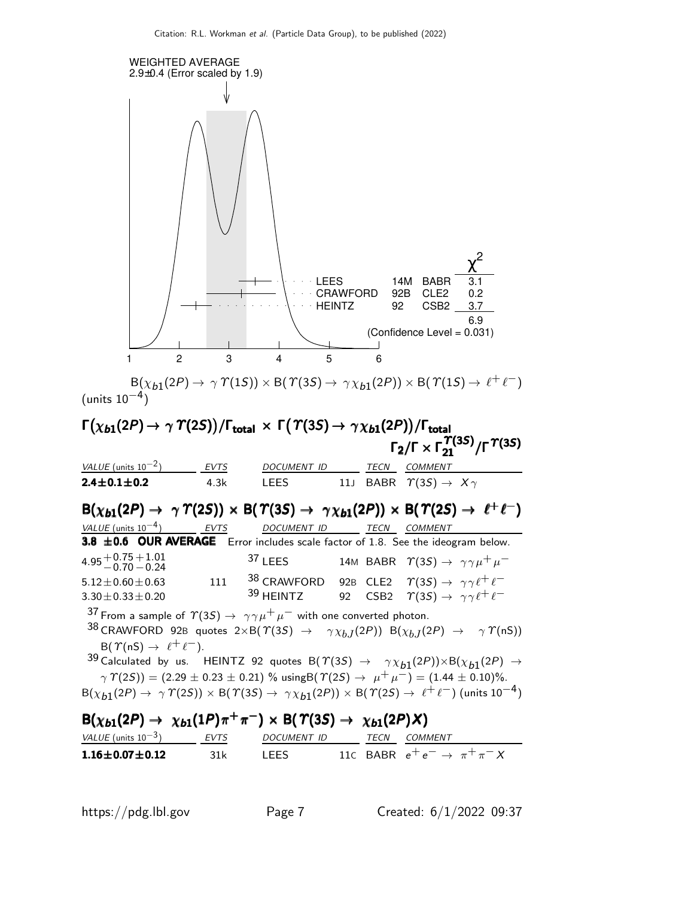